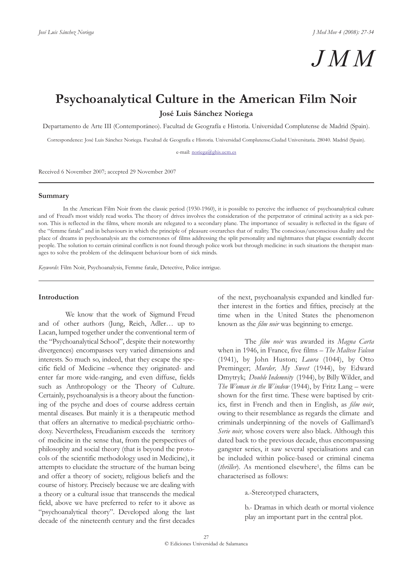# *JMM*

## **Psychoanalytical Culture in the American Film Noir**

**José Luis Sánchez Noriega**

Departamento de Arte III (Contemporáneo). Facultad de Geografía e Historia. Universidad Complutense de Madrid (Spain).

Correspondence: José Luis Sánchez Noriega. Facultad de Geografía e Historia. Universidad Complutense.Ciudad Universitaria. 28040. Madrid (Spain).

e-mail: noriega@ghis.ucm.es

Received 6 November 2007; accepted 29 November 2007

#### **Summary**

In the American Film Noir from the classic period (1930-1960), it is possible to perceive the influence of psychoanalytical culture and of Freud's most widely read works. The theory of drives involves the consideration of the perpetrator of criminal activity as a sick person. This is reflected in the films, where morals are relegated to a secondary plane. The importance of sexuality is reflected in the figure of the "femme fatale" and in behaviours in which the principle of pleasure overarches that of reality. The conscious/unconscious duality and the place of dreams in psychoanalysis are the cornerstones of films addressing the split personality and nightmares that plague essentially decent people. The solution to certain criminal conflicts is not found through police work but through medicine: in such situations the therapist manages to solve the problem of the delinquent behaviour born of sick minds.

*Keywords*: Film Noir, Psychoanalysis, Femme fatale, Detective, Police intrigue.

#### **Introduction**

We know that the work of Sigmund Freud and of other authors (Jung, Reich, Adler… up to Lacan, lumped together under the conventional term of the "Psychoanalytical School", despite their noteworthy divergences) encompasses very varied dimensions and interests. So much so, indeed, that they escape the specific field of Medicine –whence they originated- and enter far more wide-ranging, and even diffuse, fields such as Anthropology or the Theory of Culture. Certainly, psychoanalysis is a theory about the functioning of the psyche and does of course address certain mental diseases. But mainly it is a therapeutic method that offers an alternative to medical-psychiatric orthodoxy. Nevertheless, Freudianism exceeds the territory of medicine in the sense that, from the perspectives of philosophy and social theory (that is beyond the protocols of the scientific methodology used in Medicine), it attempts to elucidate the structure of the human being and offer a theory of society, religious beliefs and the course of history. Precisely because we are dealing with a theory or a cultural issue that transcends the medical field, above we have preferred to refer to it above as "psychoanalytical theory". Developed along the last decade of the nineteenth century and the first decades

of the next, psychoanalysis expanded and kindled further interest in the forties and fifties, precisely at the time when in the United States the phenomenon known as the *film noir* was beginning to emerge.

The *film noir* was awarded its *Magna Carta* when in 1946, in France, five films – *The Maltese Falcon* (1941), by John Huston; *Laura* (1044), by Otto Preminger; *Murder, My Sweet* (1944), by Edward Dmytryk; *Double Indemnity* (1944), by Billy Wilder, and *The Woman in the Window* (1944), by Fritz Lang – were shown for the first time. These were baptised by critics, first in French and then in English, as *film noir*, owing to their resemblance as regards the climate and criminals underpinning of the novels of Gallimard's *Serie noir,* whose covers were also black. Although this dated back to the previous decade, thus encompassing gangster series, it saw several specialisations and can be included within police-based or criminal cinema (*thriller*). As mentioned elsewhere<sup>1</sup>, the films can be characterised as follows:

a.-Stereotyped characters,

b.- Dramas in which death or mortal violence play an important part in the central plot.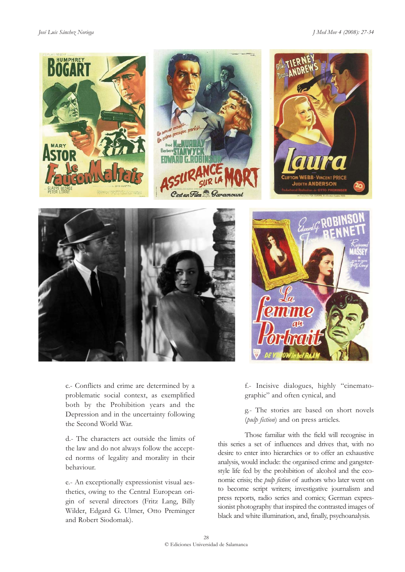#### *José Luis Sánchez Noriega J Med Mov 4 (2008): 27-34*



c.- Conflicts and crime are determined by a problematic social context, as exemplified both by the Prohibition years and the Depression and in the uncertainty following the Second World War.

d.- The characters act outside the limits of the law and do not always follow the accepted norms of legality and morality in their behaviour.

e.- An exceptionally expressionist visual aesthetics, owing to the Central European origin of several directors (Fritz Lang, Billy Wilder, Edgard G. Ulmer, Otto Preminger and Robert Siodomak).



**JUDITH ANDERSO** 

f.- Incisive dialogues, highly "cinematographic" and often cynical, and

g.- The stories are based on short novels (*pulp fiction*) and on press articles.

Those familiar with the field will recognise in this series a set of influences and drives that, with no desire to enter into hierarchies or to offer an exhaustive analysis, would include: the organised crime and gangsterstyle life fed by the prohibition of alcohol and the economic crisis; the *pulp fiction* of authors who later went on to become script writers; investigative journalism and press reports, radio series and comics; German expressionist photography that inspired the contrasted images of black and white illumination, and, finally, psychoanalysis.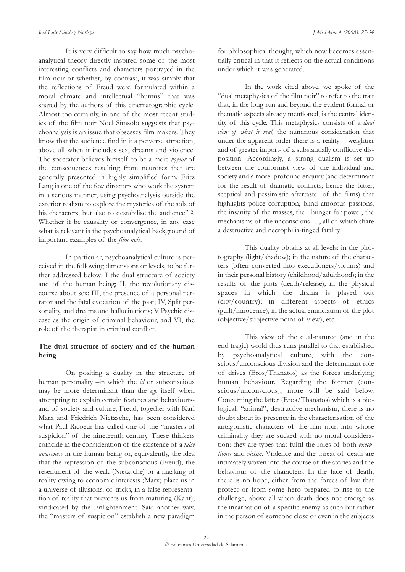It is very difficult to say how much psychoanalytical theory directly inspired some of the most interesting conflicts and characters portrayed in the film noir or whether, by contrast, it was simply that the reflections of Freud were formulated within a moral climate and intellectual "humus" that was shared by the authors of this cinematographic cycle. Almost too certainly, in one of the most recent studies of the film noir Noël Simsolo suggests that psychoanalysis is an issue that obsesses film makers. They know that the audience find in it a perverse attraction, above all when it includes sex, dreams and violence. The spectator believes himself to be a mere *voyeur* of the consequences resulting from neuroses that are generally presented in highly simplified form. Fritz Lang is one of the few directors who work the system in a serious manner, using psychoanalysis outside the exterior realism to explore the mysteries of the sols of his characters: but also to destabilise the audience" 2. Whether it be causality or convergence, in any case what is relevant is the psychoanalytical background of important examples of the *film noir*.

In particular, psychoanalytical culture is perceived in the following dimensions or levels, to be further addressed below: I the dual structure of society and of the human being; II, the revolutionary discourse about sex; III, the presence of a personal narrator and the fatal evocation of the past; IV, Split personality, and dreams and hallucinations; V Psychic disease as the origin of criminal behaviour, and VI, the role of the therapist in criminal conflict.

### **The dual structure of society and of the human being**

On positing a duality in the structure of human personality –in which the *id* or subconscious may be more determinant than the *ego* itself when attempting to explain certain features and behavioursand of society and culture, Freud, together with Karl Marx and Friedrich Nietzsche, has been considered what Paul Ricoeur has called one of the "masters of suspicion" of the nineteenth century. These thinkers coincide in the consideration of the existence of a *false awareness* in the human being or, equivalently, the idea that the repression of the subconscious (Freud), the resentment of the weak (Nietzsche) or a masking of reality owing to economic interests (Marx) place us in a universe of illusions, of tricks, in a false representation of reality that prevents us from maturing (Kant), vindicated by the Enlightenment. Said another way, the "masters of suspicion" establish a new paradigm

for philosophical thought, which now becomes essentially critical in that it reflects on the actual conditions under which it was generated.

In the work cited above, we spoke of the "dual metaphysics of the film noir" to refer to the trait that, in the long run and beyond the evident formal or thematic aspects already mentioned, is the central identity of this cycle. This metaphysics consists of a *dual view of what is real,* the numinous consideration that under the apparent order there is a reality – weightier and of greater import- of a substantially conflictive disposition. Accordingly, a strong dualism is set up between the conformist view of the individual and society and a more profound enquiry (and determinant for the result of dramatic conflicts; hence the bitter, sceptical and pessimistic aftertaste of the films) that highlights police corruption, blind amorous passions, the insanity of the masses, the hunger for power, the mechanisms of the unconscious …, all of which share a destructive and necrophilia-tinged fatality.

This duality obtains at all levels: in the photography (light/shadow); in the nature of the characters (often converted into executioners/victims) and in their personal history (childhood/adulthood); in the results of the plots (death/release); in the physical spaces in which the drama is played out (city/country); in different aspects of ethics (guilt/innocence); in the actual enunciation of the plot (objective/subjective point of view), etc.

This view of the dual-natured (and in the end tragic) world thus runs parallel to that established by psychoanalytical culture, with the conscious/unconscious division and the determinant role of drives (Eros/Thanatos) as the forces underlying human behaviour. Regarding the former (conscious/unconscious), more will be said below. Concerning the latter (Eros/Thanatos) which is a biological, "animal", destructive mechanism, there is no doubt about its presence in the characterisation of the antagonistic characters of the film noir, into whose criminality they are sucked with no moral consideration: they are types that fulfil the roles of both *executioner* and *victim*. Violence and the threat of death are intimately woven into the course of the stories and the behaviour of the characters. In the face of death, there is no hope, either from the forces of law that protect or from some hero prepared to rise to the challenge, above all when death does not emerge as the incarnation of a specific enemy as such but rather in the person of someone close or even in the subjects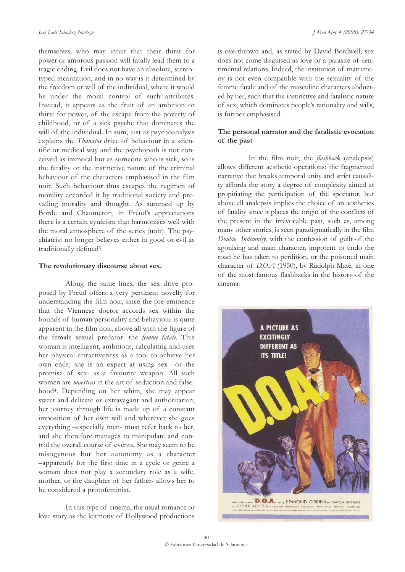themselves, who may intuit that their thirst for power or amorous passion will fatally lead them to a tragic ending. Evil does not have an absolute, stereotyped incarnation, and in no way is it determined by the freedom or will of the individual, where it would be under the moral control of such attributes. Instead, it appears as the fruit of an ambition or thirst for power, of the escape from the poverty of childhood, or of a sick psyche that dominates the will of the individual. In sum, just as psychoanalysis explains the *Thanatos* drive of behaviour in a scientific or medical way and the psychopath is not conceived as immoral but as someone who is sick, so is the fatality or the instinctive nature of the criminal behaviour of the characters emphasised in the film noir. Such behaviour thus escapes the regimen of morality accorded it by traditional society and prevailing morality and thought. As summed up by Borde and Chaumeton, in Freud's appreciations there is a certain cynicism that harmonises well with the moral atmosphere of the series (noir). The psychiatrist no longer believes either in good or evil as traditionally defined3.

#### **The revolutionary discourse about sex.**

Along the same lines, the sex drive proposed by Freud offers a very pertinent novelty for understanding the film noir, since the pre-eminence that the Viennese doctor accords sex within the bounds of human personality and behaviour is quite apparent in the film noir, above all with the figure of the female sexual predator: the *femme fatale*. This woman is intelligent, ambitious, calculating and uses her physical attractiveness as a tool to achieve her own ends; she is an expert at using sex –or the promise of sex- as a favourite weapon. All such women are *maestras* in the art of seduction and falsehood4. Depending on her whim, she may appear sweet and delicate or extravagant and authoritarian; her journey through life is made up of a constant imposition of her own will and wherever she goes everything –especially men- must refer back to her, and she therefore manages to manipulate and control the overall course of events. She may seem to be misogynous but her autonomy as a character –apparently for the first time in a cycle or genre a woman does not play a secondary role as a wife, mother, or the daughter of her father- allows her to be considered a protofeminist.

In this type of cinema, the usual romance or love story as the leitmotiv of Hollywood productions

is overthrown and, as stated by David Bordwell, sex does not come disguised as love or a parasite of sentimental relations. Indeed, the institution of matrimony is not even compatible with the sexuality of the femme fatale and of the masculine characters abducted by her, such that the instinctive and fatalistic nature of sex, which dominates people's rationality and wills, is further emphasised.

#### **The personal narrator and the fatalistic evocation of the past**

In the film noir, the *flashback* (analepsis) allows different aesthetic operations: the fragmented narrative that breaks temporal unity and strict causality affords the story a degree of complexity aimed at propitiating the participation of the spectator, but above all analepsis implies the choice of an aesthetics of fatality since it places the origin of the conflicts of the present in the irrevocable past, such as, among many other stories, is seen paradigmatically in the film *Double Indemnity*, with the confession of guilt of the agonising and main character, impotent to undo the road he has taken to perdition, or the poisoned main character of *D.O.A* (1950), by Rudolph Maté, in one of the most famous flashbacks in the history of the cinema.

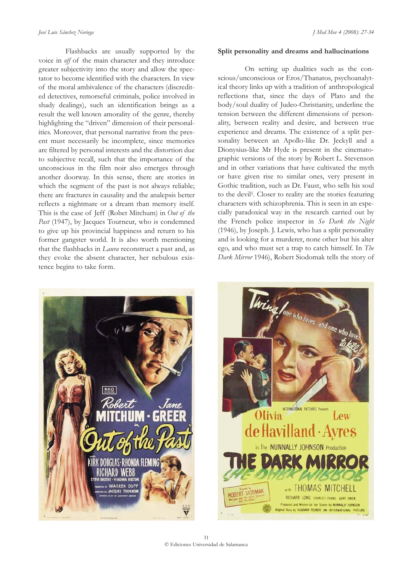Flashbacks are usually supported by the voice in *off* of the main character and they introduce greater subjectivity into the story and allow the spectator to become identified with the characters. In view of the moral ambivalence of the characters (discredited detectives, remorseful criminals, police involved in shady dealings), such an identification brings as a result the well known amorality of the genre, thereby highlighting the "driven" dimension of their personalities. Moreover, that personal narrative from the present must necessarily be incomplete, since memories are filtered by personal interests and the distortion due to subjective recall, such that the importance of the unconscious in the film noir also emerges through another doorway. In this sense, there are stories in which the segment of the past is not always reliable; there are fractures in causality and the analepsis better reflects a nightmare or a dream than memory itself. This is the case of Jeff (Robet Mitchum) in *Out of the* Past<sup>(1947</sup>), by Jacques Tourneur, who is condemned to give up his provincial happiness and return to his former gangster world. It is also worth mentioning that the flashbacks in *Laura* reconstruct a past and, as they evoke the absent character, her nebulous existence begins to take form.

#### **Split personality and dreams and hallucinations**

On setting up dualities such as the conscious/unconscious or Eros/Thanatos, psychoanalytical theory links up with a tradition of anthropological reflections that, since the days of Plato and the body/soul duality of Judeo-Christianity, underline the tension between the different dimensions of personality, between reality and desire, and between true experience and dreams. The existence of a split personality between an Apollo-like Dr. Jeckyll and a Dionysius-like Mr Hyde is present in the cinematographic versions of the story by Robert L. Stevenson and in other variations that have cultivated the myth or have given rise to similar ones, very present in Gothic tradition, such as Dr. Faust, who sells his soul to the devil5. Closer to reality are the stories featuring characters with schizophrenia. This is seen in an especially paradoxical way in the research carried out by the French police inspector in *So Dark the Night* (1946), by Joseph. J. Lewis, who has a split personality and is looking for a murderer, none other but his alter ego, and who must set a trap to catch himself. In *The Dark Mirror* 1946), Robert Siodomak tells the story of



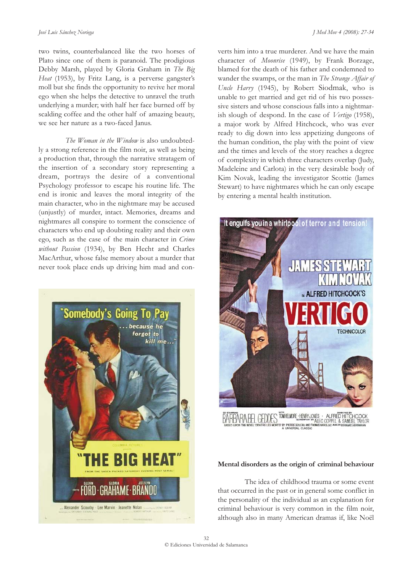two twins, counterbalanced like the two horses of Plato since one of them is paranoid. The prodigious Debby Marsh, played by Gloria Graham in *The Big Heat* (1953), by Fritz Lang, is a perverse gangster's moll but she finds the opportunity to revive her moral ego when she helps the detective to unravel the truth underlying a murder; with half her face burned off by scalding coffee and the other half of amazing beauty, we see her nature as a two-faced Janus.

*The Woman in the Window* is also undoubtedly a strong reference in the film noir, as well as being a production that, through the narrative stratagem of the insertion of a secondary story representing a dream, portrays the desire of a conventional Psychology professor to escape his routine life. The end is ironic and leaves the moral integrity of the main character, who in the nightmare may be accused (unjustly) of murder, intact. Memories, dreams and nightmares all conspire to torment the conscience of characters who end up doubting reality and their own ego, such as the case of the main character in *Crime without Passion* (1934), by Ben Hecht and Charles MacArthur, whose false memory about a murder that never took place ends up driving him mad and con-



verts him into a true murderer. And we have the main character of *Moonrise* (1949), by Frank Borzage, blamed for the death of his father and condemned to wander the swamps, or the man in *The Strange Affair of Uncle Harry* (1945), by Robert Siodmak, who is unable to get married and get rid of his two possessive sisters and whose conscious falls into a nightmarish slough of despond. In the case of *Vertigo* (1958), a major work by Alfred Hitchcock, who was ever ready to dig down into less appetizing dungeons of the human condition, the play with the point of view and the times and levels of the story reaches a degree of complexity in which three characters overlap (Judy, Madeleine and Carlota) in the very desirable body of Kim Novak, leading the investigator Scottie (James Stewart) to have nightmares which he can only escape by entering a mental health institution.



A ARA BEL GEDDES TOWHELMORE HENRY JONES - ALFRED HITCHCOCK<br>DATIDARIA BEL GEDDES TOWHELMORE "MALEC COPPEL & SAMUEL TAYLOR<br>BASED UPON THE NOVEL "DENTRE LES MORTS" BY PIERRES DICTIONS DONG NASSIG." "ME "MEERINAD HERBIANNI

#### **Mental disorders as the origin of criminal behaviour**

The idea of childhood trauma or some event that occurred in the past or in general some conflict in the personality of the individual as an explanation for criminal behaviour is very common in the film noir, although also in many American dramas if, like Noël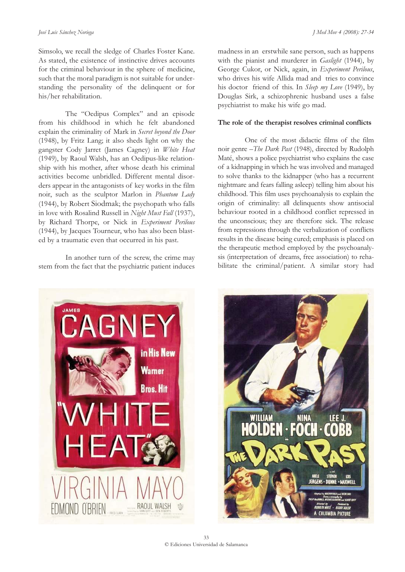Simsolo, we recall the sledge of Charles Foster Kane. As stated, the existence of instinctive drives accounts for the criminal behaviour in the sphere of medicine, such that the moral paradigm is not suitable for understanding the personality of the delinquent or for his/her rehabilitation.

The "Oedipus Complex" and an episode from his childhood in which he felt abandoned explain the criminality of Mark in *Secret beyond the Door* (1948), by Fritz Lang; it also sheds light on why the gangster Cody Jarret (James Cagney) in *White Heat* (1949), by Raoul Walsh, has an Oedipus-like relationship with his mother, after whose death his criminal activities become unbridled. Different mental disorders appear in the antagonists of key works in the film noir, such as the sculptor Marlon in *Phantom Lady* (1944), by Robert Siodmak; the psychopath who falls in love with Rosalind Russell in *Night Must Fall* (1937), by Richard Thorpe, or Nick in *Experiment Perilous* (1944), by Jacques Tourneur, who has also been blasted by a traumatic even that occurred in his past.

In another turn of the screw, the crime may stem from the fact that the psychiatric patient induces madness in an erstwhile sane person, such as happens with the pianist and murderer in *Gaslight* (1944), by George Cukor, or Nick, again, in *Experiment Perilous*, who drives his wife Allida mad and tries to convince his doctor friend of this. In *Sleep my Love* (1949), by Douglas Sirk, a schizophrenic husband uses a false psychiatrist to make his wife go mad.

#### **The role of the therapist resolves criminal conflicts**

One of the most didactic films of the film noir genre –*The Dark Past* (1948), directed by Rudolph Maté, shows a police psychiatrist who explains the case of a kidnapping in which he was involved and managed to solve thanks to the kidnapper (who has a recurrent nightmare and fears falling asleep) telling him about his childhood. This film uses psychoanalysis to explain the origin of criminality: all delinquents show antisocial behaviour rooted in a childhood conflict repressed in the unconscious; they are therefore sick. The release from repressions through the verbalization of conflicts results in the disease being cured; emphasis is placed on the therapeutic method employed by the psychoanalysis (interpretation of dreams, free association) to rehabilitate the criminal/patient. A similar story had